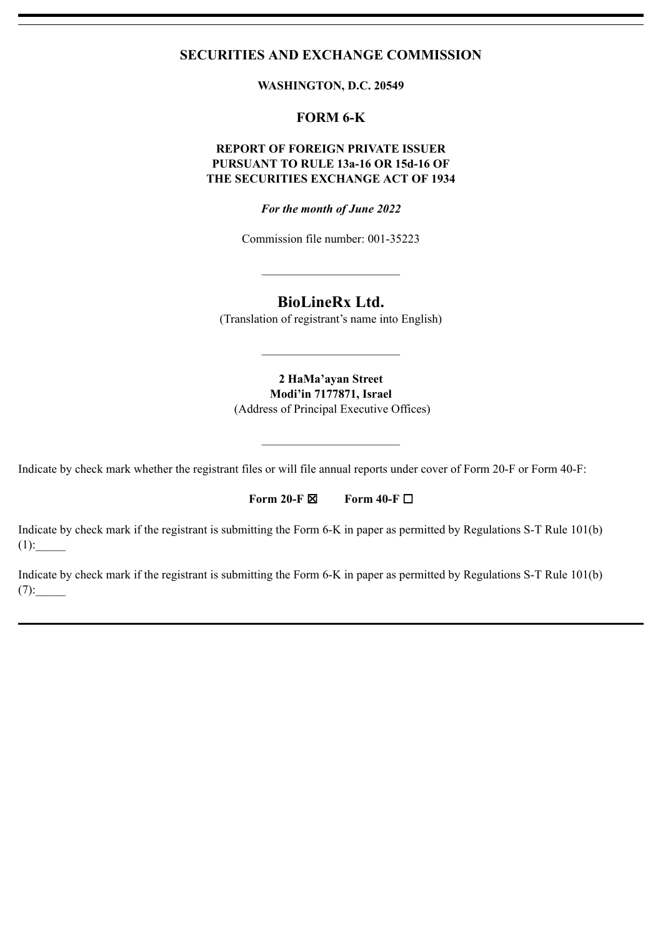## **SECURITIES AND EXCHANGE COMMISSION**

**WASHINGTON, D.C. 20549**

# **FORM 6-K**

## **REPORT OF FOREIGN PRIVATE ISSUER PURSUANT TO RULE 13a-16 OR 15d-16 OF THE SECURITIES EXCHANGE ACT OF 1934**

*For the month of June 2022*

Commission file number: 001-35223

 $\mathcal{L}_\text{max}$  , where  $\mathcal{L}_\text{max}$ 

# **BioLineRx Ltd.**

(Translation of registrant's name into English)

**2 HaMa'ayan Street Modi'in 7177871, Israel**

(Address of Principal Executive Offices)

 $\mathcal{L}_\text{max}$  , where  $\mathcal{L}_\text{max}$ 

Indicate by check mark whether the registrant files or will file annual reports under cover of Form 20-F or Form 40-F:

### **Form 20-F** ☒ **Form 40-F** ☐

Indicate by check mark if the registrant is submitting the Form 6-K in paper as permitted by Regulations S-T Rule 101(b)  $(1):$ 

Indicate by check mark if the registrant is submitting the Form 6-K in paper as permitted by Regulations S-T Rule 101(b)  $(7):$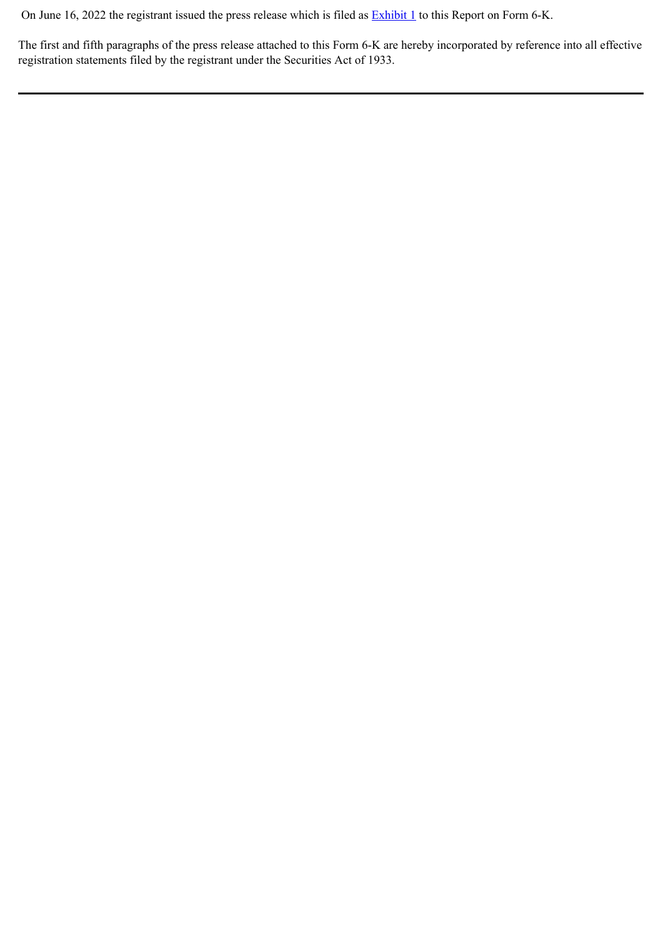On June 16, 2022 the registrant issued the press release which is filed as **[Exhibit 1](#page-3-0)** to this Report on Form 6-K.

The first and fifth paragraphs of the press release attached to this Form 6-K are hereby incorporated by reference into all effective registration statements filed by the registrant under the Securities Act of 1933.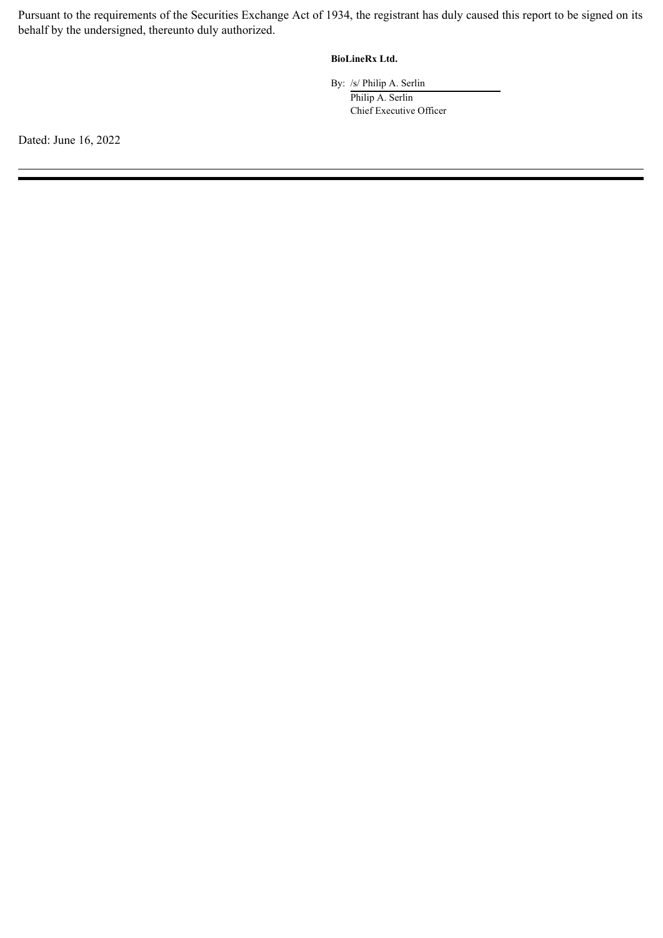Pursuant to the requirements of the Securities Exchange Act of 1934, the registrant has duly caused this report to be signed on its behalf by the undersigned, thereunto duly authorized.

### **BioLineRx Ltd.**

By: /s/ Philip A. Serlin Philip A. Serlin Chief Executive Officer

Dated: June 16, 2022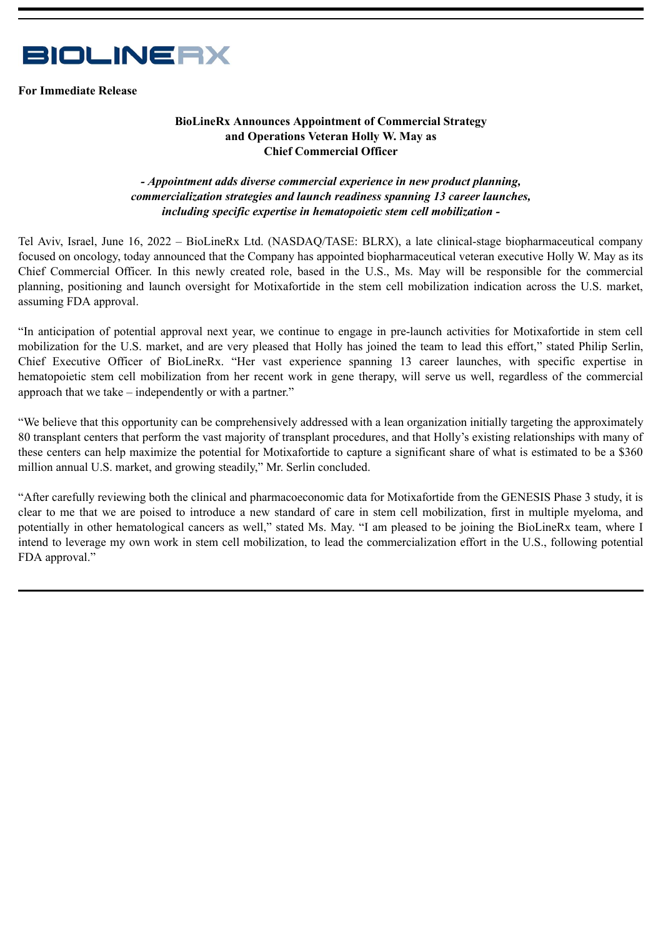<span id="page-3-0"></span>

**For Immediate Release**

## **BioLineRx Announces Appointment of Commercial Strategy and Operations Veteran Holly W. May as Chief Commercial Officer**

### *- Appointment adds diverse commercial experience in new product planning, commercialization strategies and launch readiness spanning 13 career launches, including specific expertise in hematopoietic stem cell mobilization -*

Tel Aviv, Israel, June 16, 2022 – BioLineRx Ltd. (NASDAQ/TASE: BLRX), a late clinical-stage biopharmaceutical company focused on oncology, today announced that the Company has appointed biopharmaceutical veteran executive Holly W. May as its Chief Commercial Officer. In this newly created role, based in the U.S., Ms. May will be responsible for the commercial planning, positioning and launch oversight for Motixafortide in the stem cell mobilization indication across the U.S. market, assuming FDA approval.

"In anticipation of potential approval next year, we continue to engage in pre-launch activities for Motixafortide in stem cell mobilization for the U.S. market, and are very pleased that Holly has joined the team to lead this effort," stated Philip Serlin, Chief Executive Officer of BioLineRx. "Her vast experience spanning 13 career launches, with specific expertise in hematopoietic stem cell mobilization from her recent work in gene therapy, will serve us well, regardless of the commercial approach that we take – independently or with a partner."

"We believe that this opportunity can be comprehensively addressed with a lean organization initially targeting the approximately 80 transplant centers that perform the vast majority of transplant procedures, and that Holly's existing relationships with many of these centers can help maximize the potential for Motixafortide to capture a significant share of what is estimated to be a \$360 million annual U.S. market, and growing steadily," Mr. Serlin concluded.

"After carefully reviewing both the clinical and pharmacoeconomic data for Motixafortide from the GENESIS Phase 3 study, it is clear to me that we are poised to introduce a new standard of care in stem cell mobilization, first in multiple myeloma, and potentially in other hematological cancers as well," stated Ms. May. "I am pleased to be joining the BioLineRx team, where I intend to leverage my own work in stem cell mobilization, to lead the commercialization effort in the U.S., following potential FDA approval."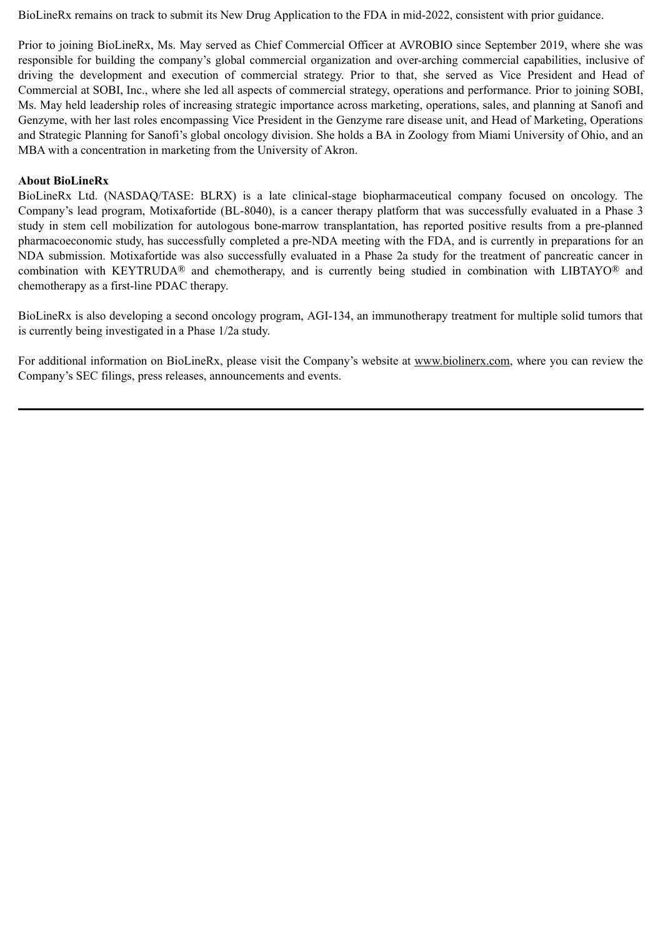BioLineRx remains on track to submit its New Drug Application to the FDA in mid-2022, consistent with prior guidance.

Prior to joining BioLineRx, Ms. May served as Chief Commercial Officer at AVROBIO since September 2019, where she was responsible for building the company's global commercial organization and over-arching commercial capabilities, inclusive of driving the development and execution of commercial strategy. Prior to that, she served as Vice President and Head of Commercial at SOBI, Inc., where she led all aspects of commercial strategy, operations and performance. Prior to joining SOBI, Ms. May held leadership roles of increasing strategic importance across marketing, operations, sales, and planning at Sanofi and Genzyme, with her last roles encompassing Vice President in the Genzyme rare disease unit, and Head of Marketing, Operations and Strategic Planning for Sanofi's global oncology division. She holds a BA in Zoology from Miami University of Ohio, and an MBA with a concentration in marketing from the University of Akron.

### **About BioLineRx**

BioLineRx Ltd. (NASDAQ/TASE: BLRX) is a late clinical-stage biopharmaceutical company focused on oncology. The Company's lead program, Motixafortide (BL-8040), is a cancer therapy platform that was successfully evaluated in a Phase 3 study in stem cell mobilization for autologous bone-marrow transplantation, has reported positive results from a pre-planned pharmacoeconomic study, has successfully completed a pre-NDA meeting with the FDA, and is currently in preparations for an NDA submission. Motixafortide was also successfully evaluated in a Phase 2a study for the treatment of pancreatic cancer in combination with KEYTRUDA® and chemotherapy, and is currently being studied in combination with LIBTAYO® and chemotherapy as a first-line PDAC therapy.

BioLineRx is also developing a second oncology program, AGI-134, an immunotherapy treatment for multiple solid tumors that is currently being investigated in a Phase 1/2a study.

For additional information on BioLineRx, please visit the Company's website at www.biolinerx.com, where you can review the Company's SEC filings, press releases, announcements and events.